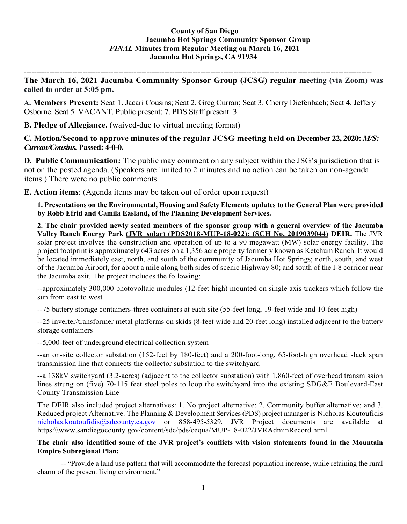**----------------------------------------------------------------------------------------------------------------------------------------**

**The March 16, 2021 Jacumba Community Sponsor Group (JCSG) regular meeting (via Zoom) was called to order at 5:05 pm.**

**A. Members Present:** Seat 1. Jacari Cousins; Seat 2. Greg Curran; Seat 3. Cherry Diefenbach; Seat 4. Jeffery Osborne. Seat 5. VACANT. Public present: 7. PDS Staff present: 3.

**B. Pledge of Allegiance.** (waived-due to virtual meeting format)

**C. Motion/Second to approve minutes of the regular JCSG meeting held on December 22, 2020:** *M/S: Curran/Cousins.* **Passed: 4-0-0.**

**D. Public Communication:** The public may comment on any subject within the JSG's jurisdiction that is not on the posted agenda. (Speakers are limited to 2 minutes and no action can be taken on non-agenda items.) There were no public comments.

**E. Action items**: (Agenda items may be taken out of order upon request)

**1. Presentations on the Environmental, Housing and Safety Elements updates to the General Plan were provided by Robb Efrid and Camila Easland, of the Planning Development Services.** 

**2. The chair provided newly seated members of the sponsor group with a general overview of the Jacumba Valley Ranch Energy Park (JVR solar) (PDS2018-MUP-18-022); (SCH No. 2019039044) DEIR.** The JVR solar project involves the construction and operation of up to a 90 megawatt (MW) solar energy facility. The project footprint is approximately 643 acres on a 1,356 acre property formerly known as Ketchum Ranch. It would be located immediately east, north, and south of the community of Jacumba Hot Springs; north, south, and west of the Jacumba Airport, for about a mile along both sides of scenic Highway 80; and south of the I-8 corridor near the Jacumba exit. The project includes the following:

--approximately 300,000 photovoltaic modules (12-feet high) mounted on single axis trackers which follow the sun from east to west

--75 battery storage containers-three containers at each site (55-feet long, 19-feet wide and 10-feet high)

--25 inverter/transformer metal platforms on skids (8-feet wide and 20-feet long) installed adjacent to the battery storage containers

--5,000-feet of underground electrical collection system

--an on-site collector substation (152-feet by 180-feet) and a 200-foot-long, 65-foot-high overhead slack span transmission line that connects the collector substation to the switchyard

--a 138kV switchyard (3.2-acres) (adjacent to the collector substation) with 1,860-feet of overhead transmission lines strung on (five) 70-115 feet steel poles to loop the switchyard into the existing SDG&E Boulevard-East County Transmission Line

The DEIR also included project alternatives: 1. No project alternative; 2. Community buffer alternative; and 3. Reduced project Alternative. The Planning & Development Services (PDS) project manager is Nicholas Koutoufidis [nicholas.koutoufidis@sdcounty.ca.gov](mailto:nicholas.koutoufidis@sdcounty.ca.gov) or 858-495-5329. JVR Project documents are available at https:\\www.sandiegocounty.gov/content/sdc/pds/cequa/MUP-18-022/JVRAdminRecord.html.

**The chair also identified some of the JVR project's conflicts with vision statements found in the Mountain Empire Subregional Plan:**

-- "Provide a land use pattern that will accommodate the forecast population increase, while retaining the rural charm of the present living environment."